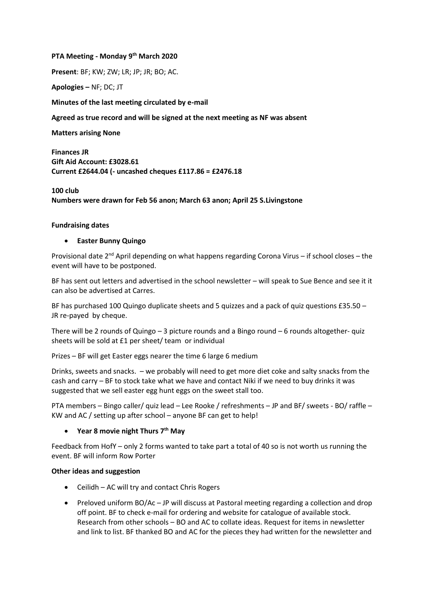### **PTA Meeting - Monday 9th March 2020**

**Present**: BF; KW; ZW; LR; JP; JR; BO; AC.

**Apologies –** NF; DC; JT

**Minutes of the last meeting circulated by e-mail**

### **Agreed as true record and will be signed at the next meeting as NF was absent**

**Matters arising None**

**Finances JR Gift Aid Account: £3028.61 Current £2644.04 (- uncashed cheques £117.86 = £2476.18**

# **100 club Numbers were drawn for Feb 56 anon; March 63 anon; April 25 S.Livingstone**

### **Fundraising dates**

### • **Easter Bunny Quingo**

Provisional date 2<sup>nd</sup> April depending on what happens regarding Corona Virus - if school closes - the event will have to be postponed.

BF has sent out letters and advertised in the school newsletter – will speak to Sue Bence and see it it can also be advertised at Carres.

BF has purchased 100 Quingo duplicate sheets and 5 quizzes and a pack of quiz questions £35.50 – JR re-payed by cheque.

There will be 2 rounds of Quingo – 3 picture rounds and a Bingo round – 6 rounds altogether- quiz sheets will be sold at £1 per sheet/ team or individual

Prizes – BF will get Easter eggs nearer the time 6 large 6 medium

Drinks, sweets and snacks. – we probably will need to get more diet coke and salty snacks from the cash and carry – BF to stock take what we have and contact Niki if we need to buy drinks it was suggested that we sell easter egg hunt eggs on the sweet stall too.

PTA members – Bingo caller/ quiz lead – Lee Rooke / refreshments – JP and BF/ sweets - BO/ raffle – KW and AC / setting up after school – anyone BF can get to help!

## • **Year 8 movie night Thurs 7th May**

Feedback from HofY – only 2 forms wanted to take part a total of 40 so is not worth us running the event. BF will inform Row Porter

#### **Other ideas and suggestion**

- Ceilidh AC will try and contact Chris Rogers
- Preloved uniform BO/Ac JP will discuss at Pastoral meeting regarding a collection and drop off point. BF to check e-mail for ordering and website for catalogue of available stock. Research from other schools – BO and AC to collate ideas. Request for items in newsletter and link to list. BF thanked BO and AC for the pieces they had written for the newsletter and